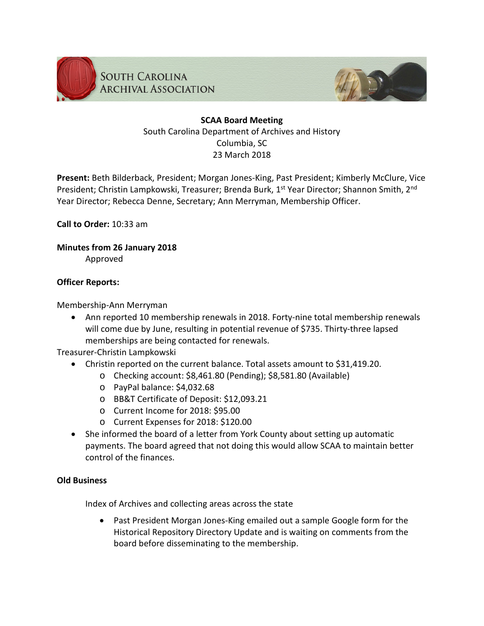



# **SCAA Board Meeting** South Carolina Department of Archives and History Columbia, SC 23 March 2018

**Present:** Beth Bilderback, President; Morgan Jones-King, Past President; Kimberly McClure, Vice President; Christin Lampkowski, Treasurer; Brenda Burk, 1<sup>st</sup> Year Director; Shannon Smith, 2<sup>nd</sup> Year Director; Rebecca Denne, Secretary; Ann Merryman, Membership Officer.

**Call to Order:** 10:33 am

**Minutes from 26 January 2018**

Approved

## **Officer Reports:**

Membership-Ann Merryman

• Ann reported 10 membership renewals in 2018. Forty-nine total membership renewals will come due by June, resulting in potential revenue of \$735. Thirty-three lapsed memberships are being contacted for renewals.

Treasurer-Christin Lampkowski

- Christin reported on the current balance. Total assets amount to \$31,419.20.
	- o Checking account: \$8,461.80 (Pending); \$8,581.80 (Available)
		- o PayPal balance: \$4,032.68
		- o BB&T Certificate of Deposit: \$12,093.21
		- o Current Income for 2018: \$95.00
		- o Current Expenses for 2018: \$120.00
- She informed the board of a letter from York County about setting up automatic payments. The board agreed that not doing this would allow SCAA to maintain better control of the finances.

### **Old Business**

Index of Archives and collecting areas across the state

• Past President Morgan Jones-King emailed out a sample Google form for the Historical Repository Directory Update and is waiting on comments from the board before disseminating to the membership.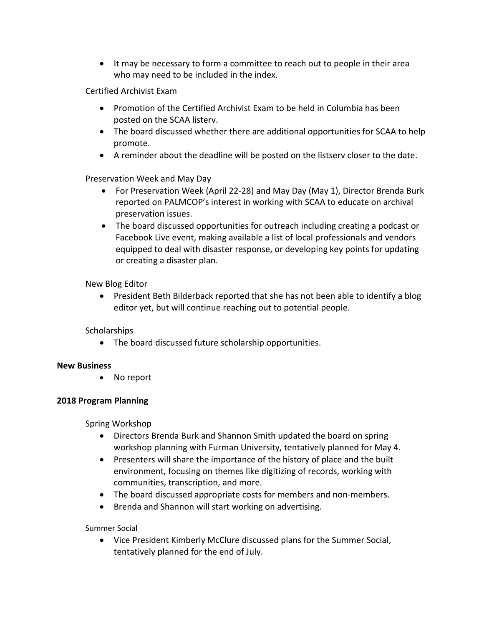• It may be necessary to form a committee to reach out to people in their area who may need to be included in the index.

Certified Archivist Exam

- Promotion of the Certified Archivist Exam to be held in Columbia has been posted on the SCAA listerv.
- The board discussed whether there are additional opportunities for SCAA to help promote.
- A reminder about the deadline will be posted on the listserv closer to the date.

Preservation Week and May Day

- For Preservation Week (April 22-28) and May Day (May 1), Director Brenda Burk reported on PALMCOP's interest in working with SCAA to educate on archival preservation issues.
- The board discussed opportunities for outreach including creating a podcast or Facebook Live event, making available a list of local professionals and vendors equipped to deal with disaster response, or developing key points for updating or creating a disaster plan.

### New Blog Editor

• President Beth Bilderback reported that she has not been able to identify a blog editor yet, but will continue reaching out to potential people.

#### **Scholarships**

• The board discussed future scholarship opportunities.

## **New Business**

• No report

## **2018 Program Planning**

Spring Workshop

- Directors Brenda Burk and Shannon Smith updated the board on spring workshop planning with Furman University, tentatively planned for May 4.
- Presenters will share the importance of the history of place and the built environment, focusing on themes like digitizing of records, working with communities, transcription, and more.
- The board discussed appropriate costs for members and non-members.
- Brenda and Shannon will start working on advertising.

Summer Social

• Vice President Kimberly McClure discussed plans for the Summer Social, tentatively planned for the end of July.